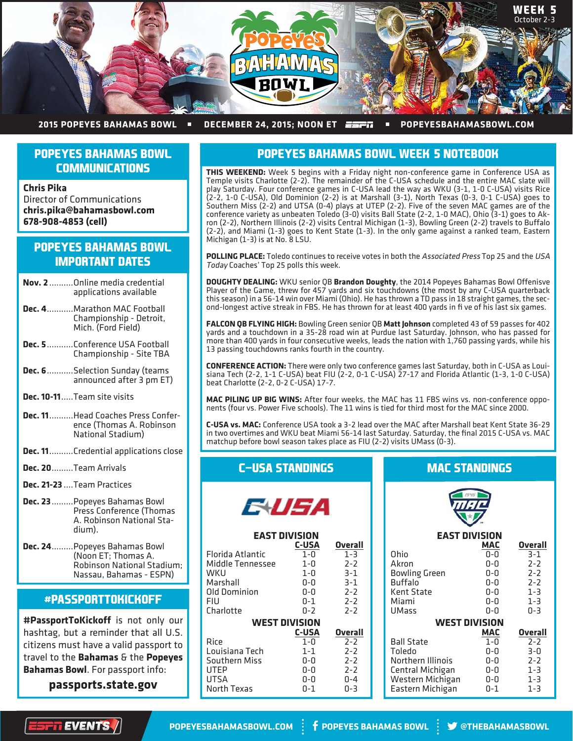

#### **2015 POPEYES BAHAMAS BOWL • DECEMBER 24, 2015; NOON ET ESPIL • POPEYESBAHAMASBOWL.COM**

## **POPEYES BAHAMAS BOWL COMMUNICATIONS**

**Chris Pika** Director of Communications **chris.pika@bahamasbowl.com 678-908-4853 (cell)**

## **POPEYES BAHAMAS BOWL IMPORTANT DATES**

- **Nov. 2** ..........Online media credential applications available
- **Dec. 4** ...........Marathon MAC Football Championship - Detroit, Mich. (Ford Field)
- **Dec. 5** ...........Conference USA Football Championship - Site TBA
- **Dec. 6** ...........Selection Sunday (teams announced after 3 pm ET)
- **Dec. 10-11** .....Team site visits
- **Dec. 11** ..........Head Coaches Press Conference (Thomas A. Robinson National Stadium)
- **Dec. 11** ..........Credential applications close
- **Dec. 20** .........Team Arrivals
- **Dec. 21-23** ....Team Practices
- **Dec. 23** .........Popeyes Bahamas Bowl Press Conference (Thomas A. Robinson National Stadium).
- **Dec. 24** .........Popeyes Bahamas Bowl (Noon ET; Thomas A. Robinson National Stadium; Nassau, Bahamas - ESPN)

## **#PASSPORTTOKICKOFF**

**#PassportToKickoff** is not only our hashtag, but a reminder that all U.S. citizens must have a valid passport to travel to the **Bahamas** & the **Popeyes Bahamas Bowl**. For passport info:

**passports.state.gov**

## **POPEYES BAHAMAS BOWL WEEK 5 NOTEBOOK**

**THIS WEEKEND:** Week 5 begins with a Friday night non-conference game in Conference USA as Temple visits Charlotte (2-2). The remainder of the C-USA schedule and the entire MAC slate will play Saturday. Four conference games in C-USA lead the way as WKU (3-1, 1-0 C-USA) visits Rice (2-2, 1-0 C-USA), Old Dominion (2-2) is at Marshall (3-1), North Texas (0-3, 0-1 C-USA) goes to Southern Miss (2-2) and UTSA (0-4) plays at UTEP (2-2). Five of the seven MAC games are of the conference variety as unbeaten Toledo (3-0) visits Ball State (2-2, 1-0 MAC), Ohio (3-1) goes to Akron (2-2), Northern Illinois (2-2) visits Central Michigan (1-3), Bowling Green (2-2) travels to Buffalo (2-2), and Miami (1-3) goes to Kent State (1-3). In the only game against a ranked team, Eastern Michigan (1-3) is at No. 8 LSU.

**POLLING PLACE:** Toledo continues to receive votes in both the Associated Press Top 25 and the USA Today Coaches' Top 25 polls this week.

**DOUGHTY DEALING:** WKU senior QB **Brandon Doughty**, the 2014 Popeyes Bahamas Bowl Offenisve Player of the Game, threw for 457 yards and six touchdowns (the most by any C-USA quarterback this season) in a 56-14 win over Miami (Ohio). He has thrown a TD pass in 18 straight games, the second-longest active streak in FBS. He has thrown for at least 400 yards in fi ve of his last six games.

**FALCON QB FLYING HIGH:** Bowling Green senior QB **Matt Johnson** completed 43 of 59 passes for 402 yards and a touchdown in a 35-28 road win at Purdue last Saturday. Johnson, who has passed for more than 400 yards in four consecutive weeks, leads the nation with 1,760 passing yards, while his 13 passing touchdowns ranks fourth in the country.

**CONFERENCE ACTION:** There were only two conference games last Saturday, both in C-USA as Louisiana Tech (2-2, 1-1 C-USA) beat FIU (2-2, 0-1 C-USA) 27-17 and Florida Atlantic (1-3, 1-0 C-USA) beat Charlotte (2-2, 0-2 C-USA) 17-7.

**MAC PILING UP BIG WINS:** After four weeks, the MAC has 11 FBS wins vs. non-conference opponents (four vs. Power Five schools). The 11 wins is tied for third most for the MAC since 2000.

**C-USA vs. MAC:** Conference USA took a 3-2 lead over the MAC after Marshall beat Kent State 36-29 in two overtimes and WKU beat Miami 56-14 last Saturday. Saturday, the final 2015 C-USA vs. MAC matchup before bowl season takes place as FIU (2-2) visits UMass (0-3).

### **C-USA STANDINGS**



### **EAST DIVISION**

|                      | <b>C-USA</b> | Overall |  |  |
|----------------------|--------------|---------|--|--|
| Florida Atlantic     | $1 - 0$      | $1 - 3$ |  |  |
| Middle Tennessee     | $1 - 0$      | $2 - 2$ |  |  |
| WKU                  | 1-0          | $3-1$   |  |  |
| Marshall             | ก-ก          | $3 - 1$ |  |  |
| Old Dominion         | 0-0          | $2 - 2$ |  |  |
| FIU                  | $0 - 1$      | $2 - 2$ |  |  |
| Charlotte            | 0-2          | $7 - 7$ |  |  |
| <b>WEST DIVISION</b> |              |         |  |  |
|                      | <b>C-USA</b> | Overall |  |  |
| Rice                 | 1-0          | $7 - 7$ |  |  |
| Louisiana Tech       | $1 - 1$      | $7 - 7$ |  |  |
| Southern Miss        | ი-ი          | $2 - 2$ |  |  |
| UTFP                 | 0-0          | $2 - 2$ |  |  |
| UTSA                 | ก-ก          | በ-4     |  |  |
| <b>North Texas</b>   | 0-1          | በ-3     |  |  |

| <b>MAC STANDINGS</b> |  |  |
|----------------------|--|--|
|                      |  |  |

| <b>EAST DIVISION</b> |         |                |  |  |
|----------------------|---------|----------------|--|--|
|                      | MAC     | Overall        |  |  |
| Ohio                 | 0-0     | $3-1$          |  |  |
| Akron                | 0-0     | $2 - 2$        |  |  |
| <b>Bowling Green</b> | 0-0     | $2 - 2$        |  |  |
| <b>Buffalo</b>       | $0-0$   | $2 - 2$        |  |  |
| Kent State           | 0-0     | $1 - 3$        |  |  |
| Miami                | 0-0     | $1 - 3$        |  |  |
| UMass                | $0 - 0$ | $0 - 3$        |  |  |
| WEST DIVISION        |         |                |  |  |
|                      | MAC     | <b>Overall</b> |  |  |
| <b>Ball State</b>    | $1 - 0$ | $2 - 2$        |  |  |
| Toledo               | 0-0     | $3 - 0$        |  |  |
| Northern Illinois    | 0-0     | $2 - 2$        |  |  |
| Central Michigan     | $0-0$   | $1 - 3$        |  |  |
| Western Michigan     | 0-0     | $1 - 3$        |  |  |
| Eastern Michigan     | $0 - 1$ | $1 - 3$        |  |  |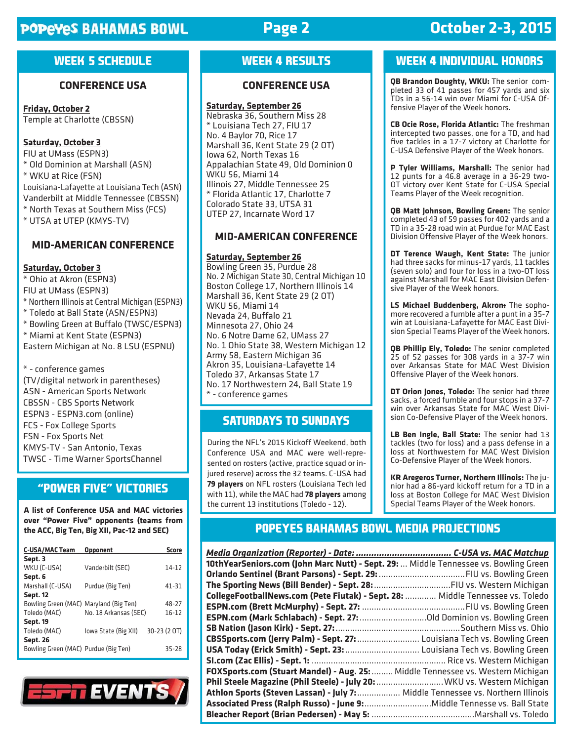# **POPEYES BAHAMAS BOWL**

# **Page 2**

# **October 2-3, 2015**

## **WEEK 5 SCHEDULE**

### **CONFERENCE USA**

**Friday, October 2** Temple at Charlotte (CBSSN)

## **Saturday, October 3**

FIU at UMass (ESPN3) \* Old Dominion at Marshall (ASN) \* WKU at Rice (FSN) Louisiana-Lafayette at Louisiana Tech (ASN) Vanderbilt at Middle Tennessee (CBSSN) \* North Texas at Southern Miss (FCS) \* UTSA at UTEP (KMYS-TV)

### **MID-AMERICAN CONFERENCE**

#### **Saturday, October 3**

\* Ohio at Akron (ESPN3) FIU at UMass (ESPN3) \* Northern Illinois at Central Michigan (ESPN3) \* Toledo at Ball State (ASN/ESPN3) \* Bowling Green at Buffalo (TWSC/ESPN3) \* Miami at Kent State (ESPN3) Eastern Michigan at No. 8 LSU (ESPNU) \* - conference games (TV/digital network in parentheses) ASN - American Sports Network CBSSN - CBS Sports Network

ESPN3 - ESPN3.com (online) FCS - Fox College Sports FSN - Fox Sports Net KMYS-TV - San Antonio, Texas TWSC - Time Warner SportsChannel

## **"POWER FIVE" VICTORIES**

**A list of Conference USA and MAC victories over "Power Five" opponents (teams from the ACC, Big Ten, Big XII, Pac-12 and SEC)**

| <b>C-USA/MAC Team</b>                  | Opponent              | <b>Score</b> |
|----------------------------------------|-----------------------|--------------|
| Sept. 3                                |                       |              |
| WKU (C-USA)                            | Vanderbilt (SEC)      | $14 - 12$    |
| Sept. 6                                |                       |              |
| Marshall (C-USA)                       | Purdue (Big Ten)      | $41 - 31$    |
| <b>Sept. 12</b>                        |                       |              |
| Bowling Green (MAC) Maryland (Big Ten) |                       | 48-27        |
| Toledo (MAC)                           | No. 18 Arkansas (SEC) | $16 - 12$    |
| <b>Sept. 19</b>                        |                       |              |
| Toledo (MAC)                           | lowa State (Big XII)  | 30-23 (2 OT) |
| <b>Sept. 26</b>                        |                       |              |
| Bowling Green (MAC) Purdue (Big Ten)   |                       | 35-28        |



# **WEEK 4 RESULTS**

### **CONFERENCE USA**

#### **Saturday, September 26**

Nebraska 36, Southern Miss 28 \* Louisiana Tech 27, FIU 17 No. 4 Baylor 70, Rice 17 Marshall 36, Kent State 29 (2 OT) Iowa 62, North Texas 16 Appalachian State 49, Old Dominion 0 WKU 56, Miami 14 Illinois 27, Middle Tennessee 25 \* Florida Atlantic 17, Charlotte 7 Colorado State 33, UTSA 31 UTEP 27, Incarnate Word 17

## **MID-AMERICAN CONFERENCE**

#### **Saturday, September 26**

Bowling Green 35, Purdue 28 No. 2 Michigan State 30, Central Michigan 10 Boston College 17, Northern Illinois 14 Marshall 36, Kent State 29 (2 OT) WKU 56, Miami 14 Nevada 24, Buffalo 21 Minnesota 27, Ohio 24 No. 6 Notre Dame 62, UMass 27 No. 1 Ohio State 38, Western Michigan 12 Army 58, Eastern Michigan 36 Akron 35, Louisiana-Lafayette 14 Toledo 37, Arkansas State 17 No. 17 Northwestern 24, Ball State 19 \* - conference games

## **SATURDAYS TO SUNDAYS**

During the NFL's 2015 Kickoff Weekend, both Conference USA and MAC were well-represented on rosters (active, practice squad or injured reserve) across the 32 teams. C-USA had **79 players** on NFL rosters (Louisiana Tech led with 11), while the MAC had **78 players** among the current 13 institutions (Toledo - 12).

## **WEEK 4 INDIVIDUAL HONORS**

**QB Brandon Doughty, WKU:** The senior completed 33 of 41 passes for 457 yards and six TDs in a 56-14 win over Miami for C-USA Offensive Player of the Week honors.

**CB Ocie Rose, Florida Atlantic:** The freshman intercepted two passes, one for a TD, and had five tackles in a 17-7 victory at Charlotte for C-USA Defensive Player of the Week honors.

**P Tyler Williams, Marshall:** The senior had 12 punts for a 46.8 average in a 36-29 two-OT victory over Kent State for C-USA Special Teams Player of the Week recognition.

**QB Matt Johnson, Bowling Green:** The senior completed 43 of 59 passes for 402 yards and a TD in a 35-28 road win at Purdue for MAC East Division Offensive Player of the Week honors.

**DT Terence Waugh, Kent State:** The junior had three sacks for minus-17 yards, 11 tackles (seven solo) and four for loss in a two-OT loss against Marshall for MAC East Division Defensive Player of the Week honors.

**LS Michael Buddenberg, Akron:** The sophomore recovered a fumble after a punt in a 35-7 win at Louisiana-Lafayette for MAC East Division Special Teams Player of the Week honors.

**QB Phillip Ely, Toledo:** The senior completed 25 of 52 passes for 308 yards in a 37-7 win over Arkansas State for MAC West Division Offensive Player of the Week honors.

**DT Orion Jones, Toledo:** The senior had three sacks, a forced fumble and four stops in a 37-7 win over Arkansas State for MAC West Division Co-Defensive Player of the Week honors.

**LB Ben Ingle, Ball State:** The senior had 13 tackles (two for loss) and a pass defense in a loss at Northwestern for MAC West Division Co-Defensive Player of the Week honors.

**KR Aregeros Turner, Northern Illinois:** The junior had a 86-yard kickoff return for a TD in a loss at Boston College for MAC West Division Special Teams Player of the Week honors.

## **POPEYES BAHAMAS BOWL MEDIA PROJECTIONS**

| 10thYearSeniors.com (John Marc Nutt) - Sept. 29:  Middle Tennessee vs. Bowling Green |  |
|--------------------------------------------------------------------------------------|--|
|                                                                                      |  |
|                                                                                      |  |
| CollegeFootballNews.com (Pete Fiutak) - Sept. 28:  Middle Tennessee vs. Toledo       |  |
|                                                                                      |  |
|                                                                                      |  |
|                                                                                      |  |
| CBSSports.com (Jerry Palm) - Sept. 27:  Louisiana Tech vs. Bowling Green             |  |
| USA Today (Erick Smith) - Sept. 23:  Louisiana Tech vs. Bowling Green                |  |
|                                                                                      |  |
| FOXSports.com (Stuart Mandel) - Aug. 25:  Middle Tennessee vs. Western Michigan      |  |
| Phil Steele Magazine (Phil Steele) - July 20:  WKU vs. Western Michigan              |  |
| Athlon Sports (Steven Lassan) - July 7:  Middle Tennessee vs. Northern Illinois      |  |
|                                                                                      |  |
|                                                                                      |  |